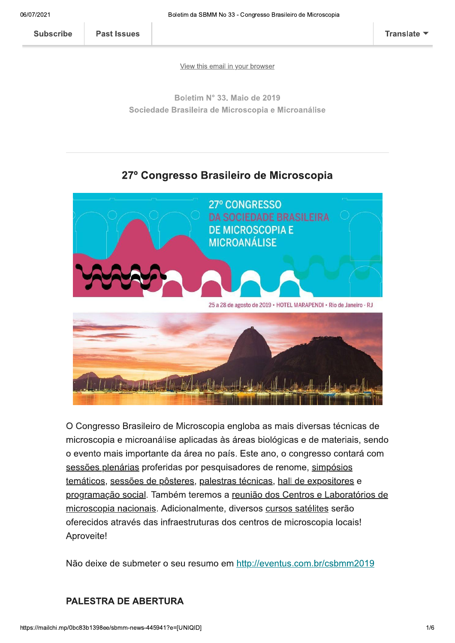**Past Issues** 

View this email in your browser

Boletim N° 33. Maio de 2019 Sociedade Brasileira de Microscopia e Microanálise

## 27º Congresso Brasileiro de Microscopia



O Congresso Brasileiro de Microscopia engloba as mais diversas técnicas de microscopia e microanálise aplicadas às áreas biológicas e de materiais, sendo o evento mais importante da área no país. Este ano, o congresso contará com sessões plenárias proferidas por pesquisadores de renome, simpósios temáticos, sessões de pôsteres, palestras técnicas, hall de expositores e programação social. Também teremos a reunião dos Centros e Laboratórios de microscopia nacionais. Adicionalmente, diversos cursos satélites serão oferecidos através das infraestruturas dos centros de microscopia locais! Aproveite!

Não deixe de submeter o seu resumo em http://eventus.com.br/csbmm2019

#### **PALESTRA DE ABERTURA**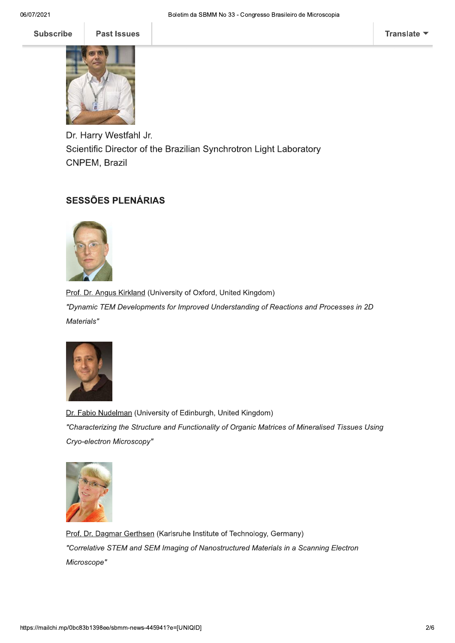

Dr. Harry Westfahl Jr. Scientific Director of the Brazilian Synchrotron Light Laboratory CNPEM, Brazil

### **SESSÕES PLENÁRIAS**



Prof. Dr. Angus Kirkland (University of Oxford, United Kingdom) "Dynamic TEM Developments for Improved Understanding of Reactions and Processes in 2D Materials"



Dr. Fabio Nudelman (University of Edinburgh, United Kingdom) "Characterizing the Structure and Functionality of Organic Matrices of Mineralised Tissues Using Cryo-electron Microscopy"



Prof. Dr. Dagmar Gerthsen (Karlsruhe Institute of Technology, Germany) "Correlative STEM and SEM Imaging of Nanostructured Materials in a Scanning Electron Microscope"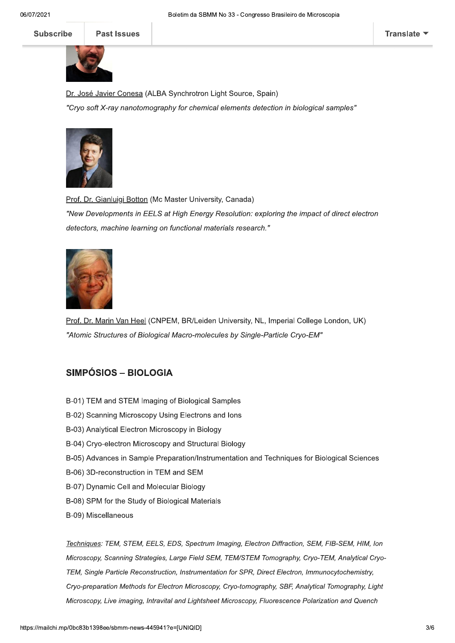**Subscribe** 

**Past Issues** 



Dr. José Javier Conesa (ALBA Synchrotron Light Source, Spain)

"Cryo soft X-ray nanotomography for chemical elements detection in biological samples"



Prof. Dr. Gianluigi Botton (Mc Master University, Canada) "New Developments in EELS at High Energy Resolution: exploring the impact of direct electron detectors, machine learning on functional materials research."



Prof. Dr. Marin Van Heel (CNPEM, BR/Leiden University, NL, Imperial College London, UK) "Atomic Structures of Biological Macro-molecules by Single-Particle Cryo-EM"

#### **SIMPÓSIOS – BIOLOGIA**

- B-01) TEM and STEM Imaging of Biological Samples
- B-02) Scanning Microscopy Using Electrons and lons
- B-03) Analytical Electron Microscopy in Biology
- B-04) Cryo-electron Microscopy and Structural Biology
- B-05) Advances in Sample Preparation/Instrumentation and Techniques for Biological Sciences
- B-06) 3D-reconstruction in TEM and SEM
- B-07) Dynamic Cell and Molecular Biology
- B-08) SPM for the Study of Biological Materials
- B-09) Miscellaneous

Techniques: TEM, STEM, EELS, EDS, Spectrum Imaging, Electron Diffraction, SEM, FIB-SEM, HIM, Ion Microscopy, Scanning Strategies, Large Field SEM, TEM/STEM Tomography, Cryo-TEM, Analytical Cryo-TEM, Single Particle Reconstruction, Instrumentation for SPR, Direct Electron, Immunocytochemistry, Cryo-preparation Methods for Electron Microscopy, Cryo-tomography, SBF, Analytical Tomography, Light Microscopy, Live imaging, Intravital and Lightsheet Microscopy, Fluorescence Polarization and Quench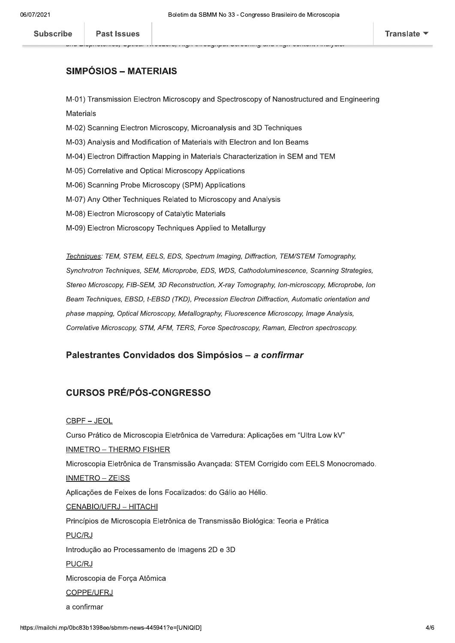#### SIMPÓSIOS - MATERIAIS

 $W$ -01) Transmission Electron Microscopy and Spectroscopy of Nanostructured and Engineering Materiais

e:1.4.Hop:10.0.1.100;Spiloe: Hookee:9;Tig1;Sinoegiipe:Solomiyane ingil volitoii:Timijoioi

- M-02) Scanning Electron Microscopy, Microanalysis and 3D Tecnniques
- M-03) Analysis and Modification of Materials with Electron and Ion Beams
- $W$ -04) Electron Diffraction Mapping in Materials Characterization in SEM and TEM
- M-05) Correlative and Optical Microscopy Applications
- m-06) Scanning Probe Microscopy (SPM) Applications
- M-07) Any Other Techniques Related to Microscopy and Analysis
- M-08) Electron Microscopy of Catalytic Materials
- M-09) Electron Microscopy Techniques Applied to Metallurgy

Techniques: TEM, STEM, EELS, EDS, Spectrum Imaging, Diffraction, TEM/STEM Tomography, Synchrotron Techniques, SEM, Microprobe, EDS, WDS, Cathodoluminescence, Scanning Strategies, Stereo Microscopy, FIB-SEM, 3D Reconstruction, X-ray Tomography, Ion-microscopy, Microprobe, Ion Beam Techniques, EBSD, t-EBSD (TKD), Precession Electron Diffraction, Automatic orientation and phase mapping, Optical Microscopy, Metallography, Fluorescence Microscopy, Image Analysis, Correlative Microscopy, STM, AFM, TERS, Force Spectroscopy, Raman, Electron spectroscopy.

#### Palestrantes Convidados dos Simpósios - a confirmar

#### CURSOS PRÉ/PÓS-CONGRESSO

#### CBPF - JEOL

e Força Atômica<br>!<br>sbmm-news-445941?e=[UNIQID] Curso Pratico de Microscopia Eletronica de Varredura: Aplicações em "Ultra Low KV"  $INMETRO - THERMO FISHER$ Microscopia Eletronica de Transmissão Avançãda: STEM Corrigido com EELS Monocromado.  $INMETRO - ZEISS$ Aplicações de Feixes de lons Focalizados: do Galio ao Hello. CENABIO/UFRJ - HITACHI Principios de Microscopia Eletronica de Transmissão Biológica: Teoria e Pratica PUC/RJ Introdução ao Processamento de Imagens 2D e 3D PUC/RJ Microscopia de Força Atômica COPPE/UFRJ a confirmar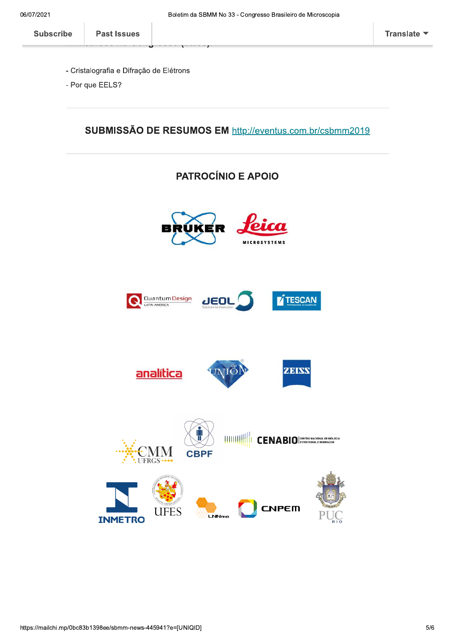- Cristalografia e Difração de Elétrons
- Por que EELS?

SUBMISSÃO DE RESUMOS EM http://eventus.com.br/csbmm2019

# **PATROCÍNIO E APOIO**